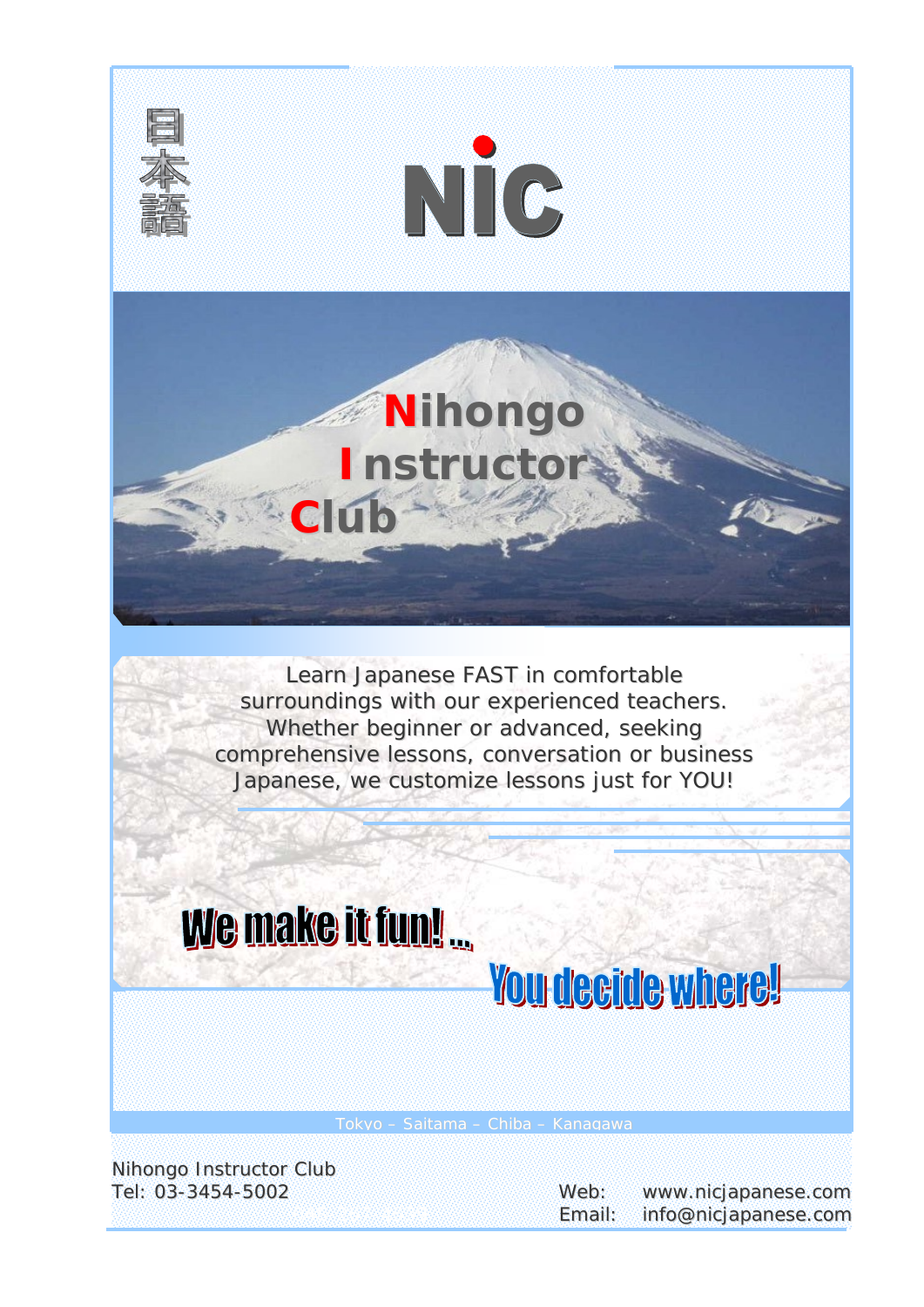

Learn Japanese *FAST* in comfortable surroundings with our experienced teachers. Whether beginner or advanced, seeking comprehensive lessons, conversation or business Japanese, we customize lessons just for *YOU*!

# We make it fun!

# **You deeide where!**

Tokyo – Saitama – Chiba – Kanagawa

Nihongo Instructor Club

Tel: 03-3454-5002 Web: www.nicjapanese.com Email: info@nicjapanese.com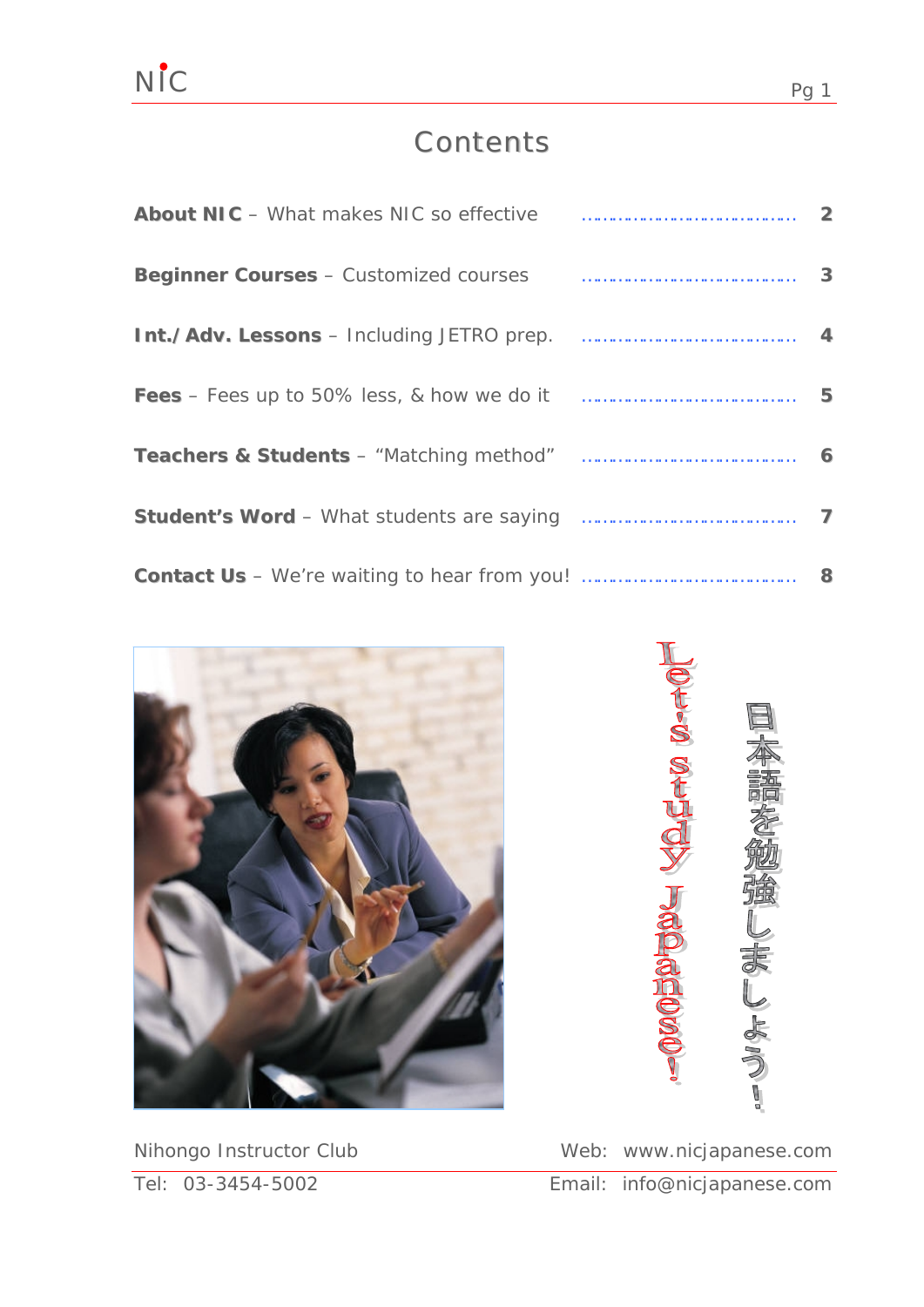### **Contents**

| About NIC - What makes NIC so effective <b>contract and the Contract About NIC</b> - What makes NIC so effective |      |
|------------------------------------------------------------------------------------------------------------------|------|
| Beginner Courses - Customized courses <b>Exercise Courses</b> 3                                                  |      |
|                                                                                                                  |      |
|                                                                                                                  | $-5$ |
|                                                                                                                  |      |
|                                                                                                                  |      |
|                                                                                                                  |      |





Nihongo Instructor Club Web: www.nicjapanese.com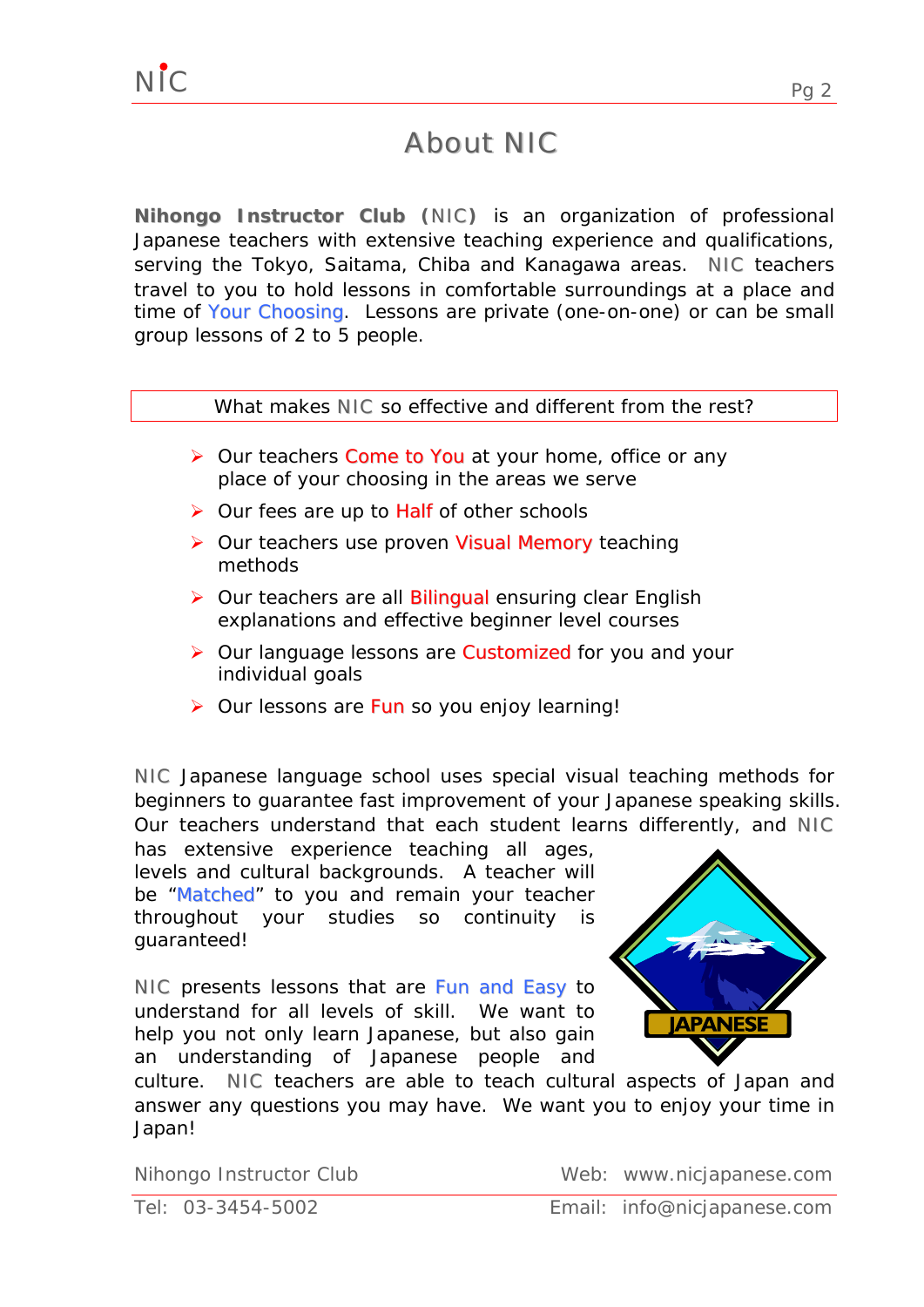### Ab bout NIC

**Nihongo Instructor Club (**NIC**)** is an organization of professional Japanese teachers with extensive teaching experience and qualifications, serving the Tokyo, Saitama, Chiba and Kanagawa areas. NIC teachers travel to you to hold lessons in comfortable surroundings at a place and time of *Your Choosing*. Lessons are private (one-on-one) or can be small group lessons of 2 to 5 people.

#### What makes **NIC** so effective and different from the rest?

- ¾ Our teachers *Come to You* at your home, office or any place of your choosing in the areas we serve
- ¾ Our fees are up to *Half* of other schools
- ¾ Our teachers use proven *Visual Memory* teaching methods
- ¾ Our teachers are all *Bilingual* ensuring clear English explanations and effective beginner level courses
- ¾ Our language lessons are *Customized* for you and your individual goals
- ¾ Our lessons are *Fun* so you enjoy learning!

NIC Japanese language school uses special visual teaching methods for beginners to guarantee fast improvement of your Japanese speaking skills. Our teachers understand that each student learns differently, and **NIC** 

has extensive experience teaching all ages, levels and cultural backgrounds. A teacher will be *"Matched"* to you and remain your teacher throughout your studies so continuity is guaranteed!

NIC presents lessons that are *Fun and Easy* to understand for all levels of skill. We want to help you not only learn Japanese, but also gain an understanding of Japanese people and



culture. NIC teachers are able to teach cultural aspects of Japan and answer any questions you may have. We want you to enjoy your time in Japan!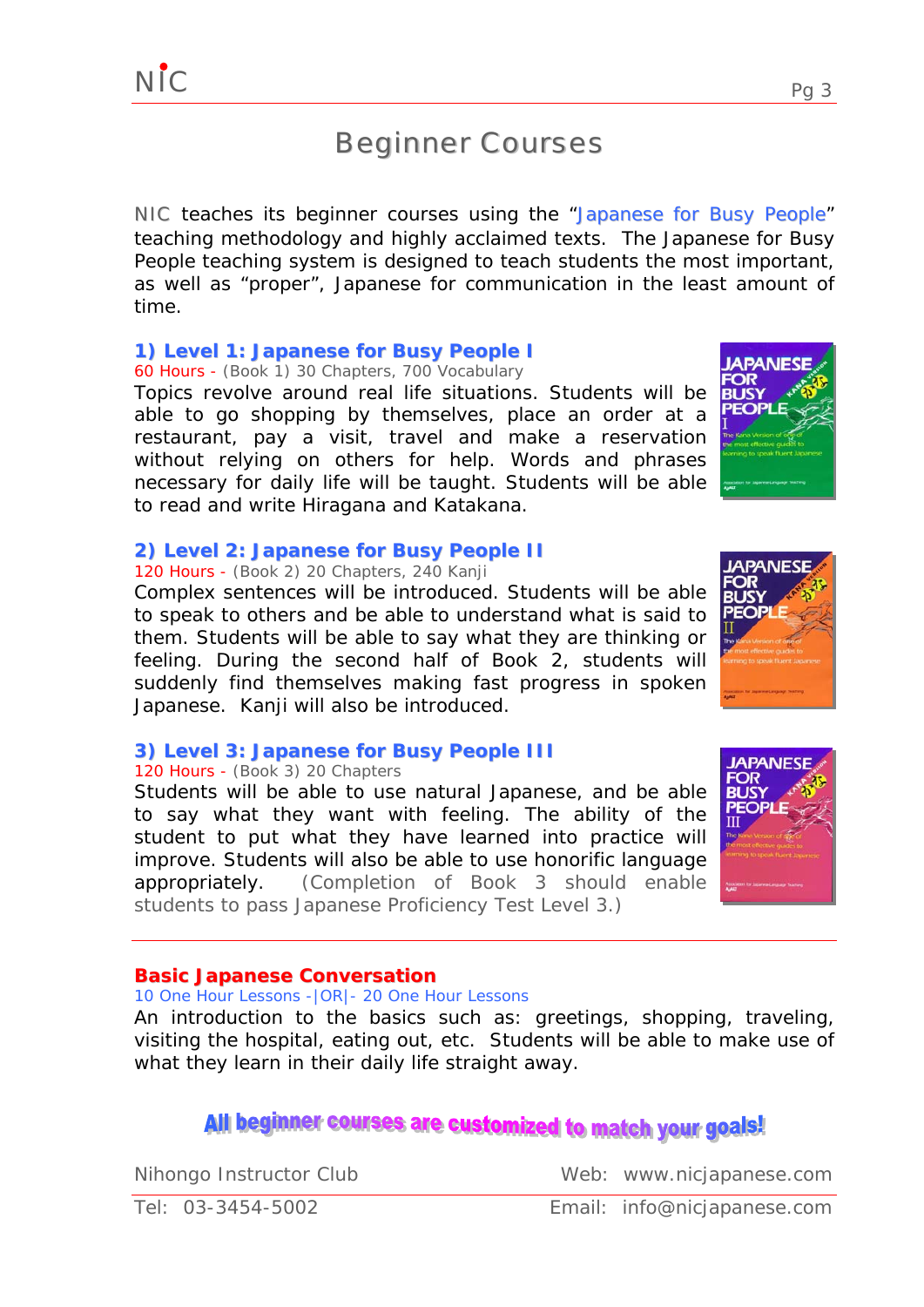### Beginner Courses

NIC teaches its beginner courses using the "*Japanese for Busy People*" teaching methodology and highly acclaimed texts. The Japanese for Busy People teaching system is designed to teach students the most important, as well as "proper", Japanese for communication in the least amount of time.

#### **1) Level 1: Japanese for Busy People I**

60 Hours - (Book 1) 30 Chapters, 700 Vocabulary

Topics revolve around real life situations. Students will be able to go shopping by themselves, place an order at a restaurant, pay a visit, travel and make a reservation without relying on others for help. Words and phrases necessary for daily life will be taught. Students will be able to read and write Hiragana and Katakana.

#### **2) Level 2: Japanese for Busy People II**

#### 120 Hours - (Book 2) 20 Chapters, 240 Kanji

Complex sentences will be introduced. Students will be able to speak to others and be able to understand what is said to them. Students will be able to say what they are thinking or feeling. During the second half of Book 2, students will suddenly find themselves making fast progress in spoken Japanese. Kanji will also be introduced.

#### **3) Level 3: Japanese for Busy People III**

#### 120 Hours - (Book 3) 20 Chapters

Students will be able to use natural Japanese, and be able to say what they want with feeling. The ability of the student to put what they have learned into practice will improve. Students will also be able to use honorific language appropriately. *(Completion of Book 3 should enable students to pass Japanese Proficiency Test Level 3.)*

#### **Basic Japanese Conversation**

10 One Hour Lessons -|OR|- 20 One Hour Lessons

An introduction to the basics such as: greetings, shopping, traveling, visiting the hospital, eating out, etc. Students will be able to make use of what they learn in their daily life straight away.

### All beginner courses are customized to match your goals!

Nihongo Instructor Club Web: www.nicjapanese.com





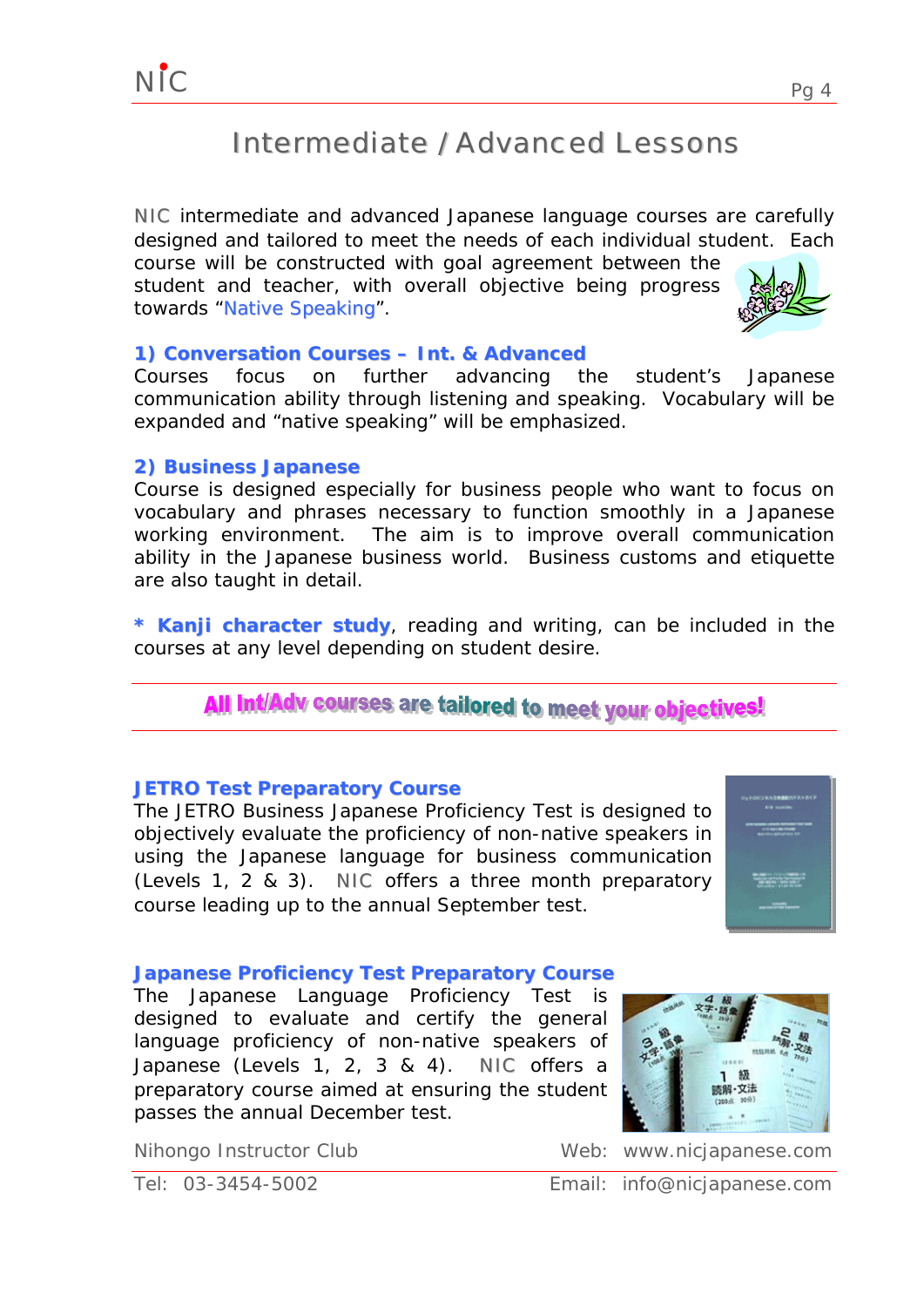### Intermediate / Advanced Lessons

NIC intermediate and advanced Japanese language courses are carefully designed and tailored to meet the needs of each individual student. Each course will be constructed with goal agreement between the

student and teacher, with overall objective being progress towards "*Native Speaking*".

#### **1) Conversation Courses – Int. & Advanced**

Courses focus on further advancing the student's Japanese communication ability through listening and speaking. Vocabulary will be expanded and "native speaking" will be emphasized.

#### **2) Business Japanese**

Course is designed especially for business people who want to focus on vocabulary and phrases necessary to function smoothly in a Japanese working environment. The aim is to improve overall communication ability in the Japanese business world. Business customs and etiquette are also taught in detail.

**\* Kanji character study**, reading and writing, can be included in the courses at any level depending on student desire.

### All Int/Adv courses are tailored to meet your objectives!

#### **JETRO Test Preparatory Course**

The JETRO Business Japanese Proficiency Test is designed to objectively evaluate the proficiency of non-native speakers in using the Japanese language for business communication (Levels 1, 2 & 3). NIC offers a three month preparatory course leading up to the annual September test.

#### **Japanese Proficiency Test Preparatory Course**

The Japanese Language Proficiency Test is designed to evaluate and certify the general language proficiency of non-native speakers of Japanese (Levels 1, 2, 3 & 4). NIC offers a preparatory course aimed at ensuring the student passes the annual December test.

Nihongo Instructor Club Web: www.nicjapanese.com

感解·文法

Tel: 03-3454-5002 Email: info@nicjapanese.com



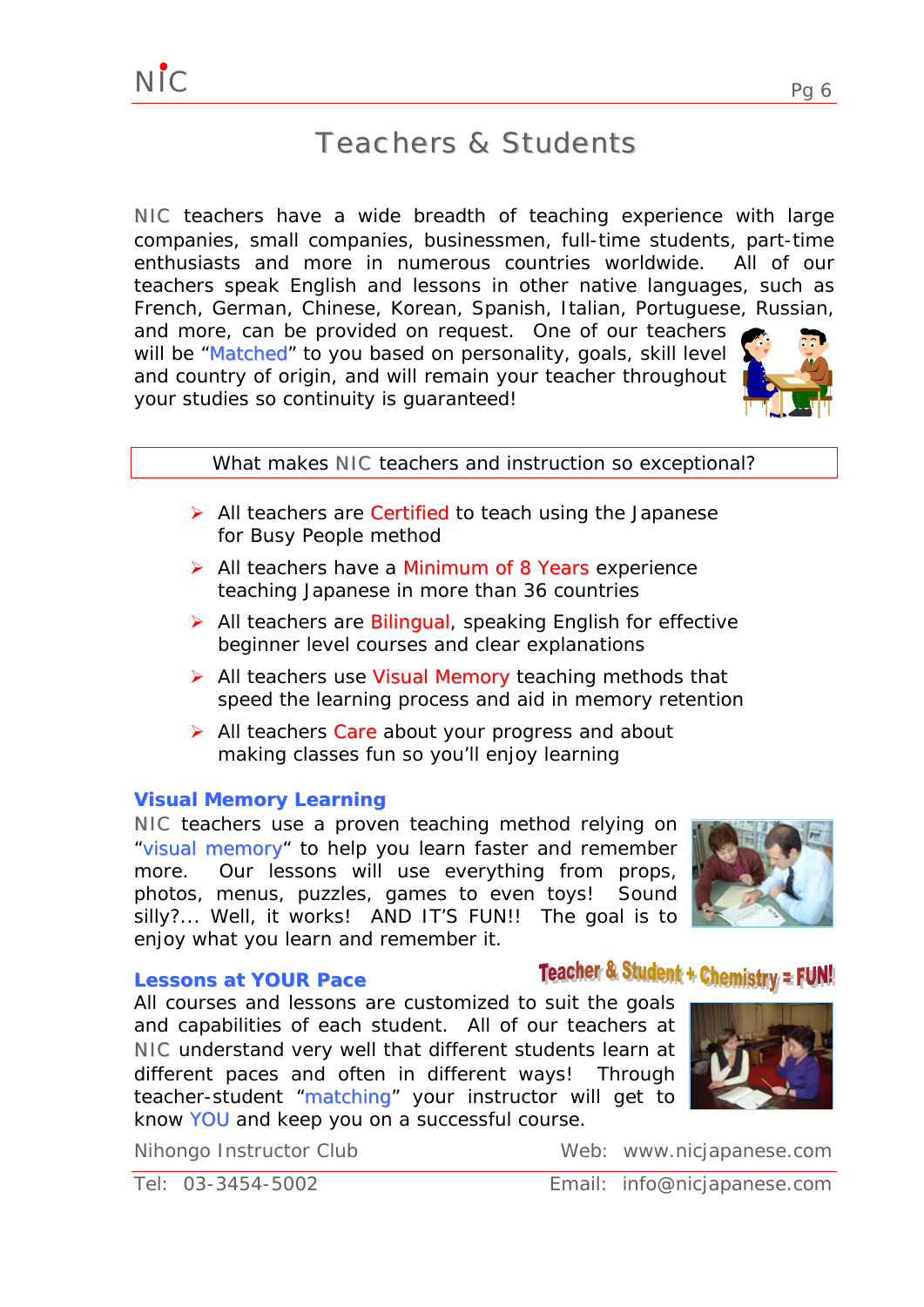### Teachers & Students

NIC teachers have a wide breadth of teaching experience with large companies, small companies, businessmen, full-time students, part-time enthusiasts and more in numerous countries worldwide. All of our teachers speak English and lessons in other native languages, such as French, German, Chinese, Korean, Spanish, Italian, Portuguese, Russian,

and more, can be provided on request. One of our teachers will be "Matched" to you based on personality, goals, skill level and country of origin, and will remain your teacher throughout your studies so continuity is guaranteed!



- ¾ All teachers are *Certified* to teach using the Japanese for Busy People method
- ¾ All teachers have a *Minimum of 8 Years* experience teaching Japanese in more than 36 countries
- ¾ All teachers are *Bilingual,* speaking English for effective beginner level courses and clear explanations
- ¾ All teachers use *Visual Memory* teaching methods that speed the learning process and aid in memory retention
- ¾ All teachers *Care* about your progress and about making classes fun so you'll enjoy learning

#### **Visual Memory Learning**

NIC teachers use a proven teaching method relying on *"visual memory"* to help you learn faster and remember more. Our lessons will use everything from props, photos, menus, puzzles, games to even toys! Sound silly?... Well, it works! AND IT'S FUN!! The goal is to enjoy what you learn and remember it.

#### **Lessons at YOUR Pace**

All courses and lessons are customized to suit the goals and capabilities of each student. All of our teachers at NIC understand very well that different students learn at different paces and often in different ways! Through teacher-student *"matching"* your instructor will get to know *YOU* and keep you on a successful course.

Nihongo Instructor Club Web: www.nicjapanese.com

#### Tel: 03-3454-5002 Email: info@nicjapanese.com







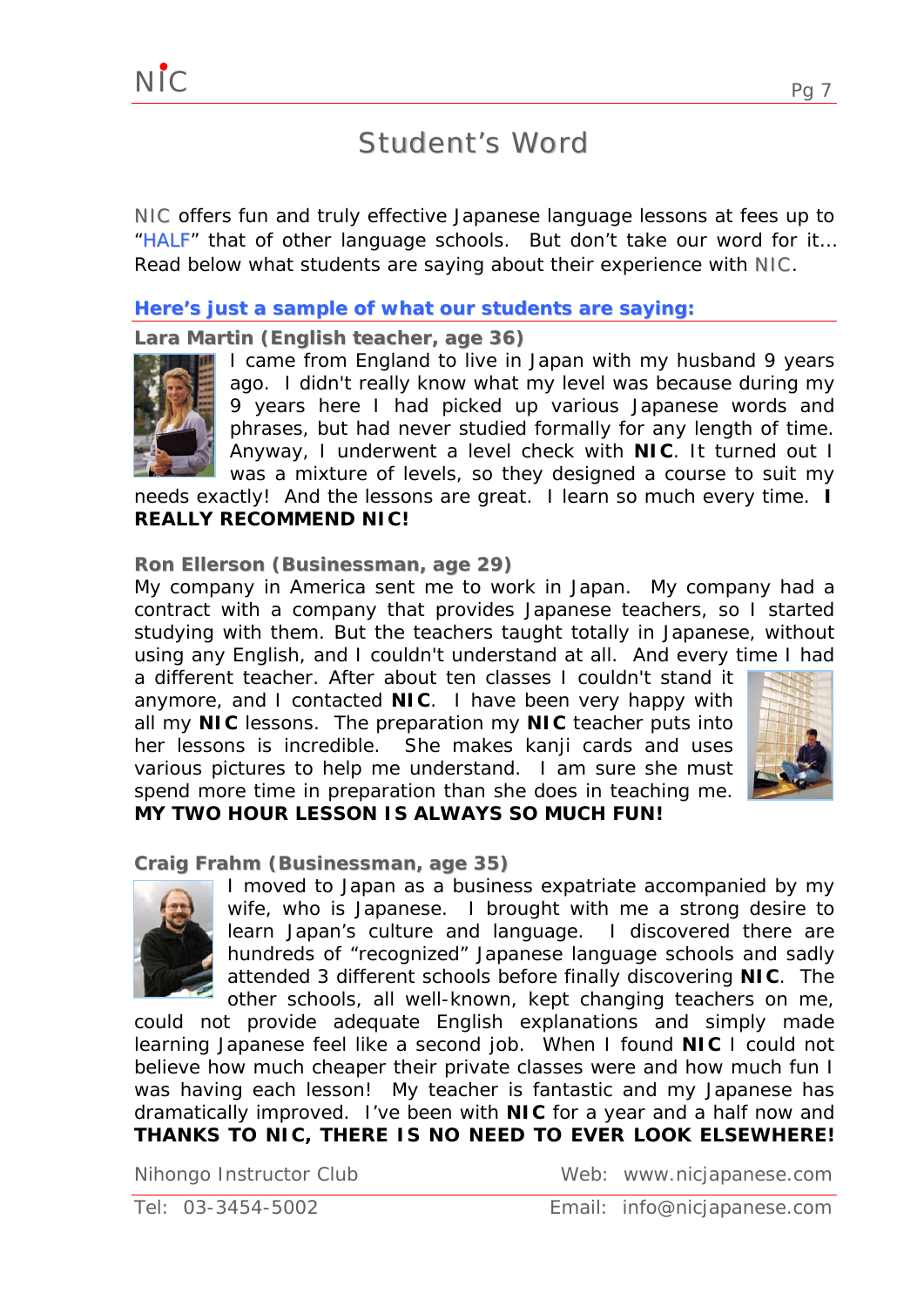## Student's Word

NIC offers fun and truly effective Japanese language lessons at fees up to *"HALF"* that of other language schools. But don't take our word for it… Read below what students are saving about their experience with **NIC**.

**Here's just a sample of what our students are saying:**

**Lara Martin (English teacher, age 36)**



NIC

I came from England to live in Japan with my husband 9 years ago. I didn't really know what my level was because during my 9 years here I had picked up various Japanese words and phrases, but had never studied formally for any length of time. Anyway, I underwent a level check with **NIC**. It turned out I was a mixture of levels, so they designed a [course](http://www.cablenet.ne.jp/%7Enic-chat/courses.html) to suit my

needs exactly! And the lessons are great. I learn so much every time. **I REALLY RECOMMEND NIC!** 

### **Ron Ellerson (Businessman, age 29)**

My company in America sent me to work in Japan. My company had a contract with a company that provides Japanese teachers, so I started studying with them. But the teachers taught totally in Japanese, without using any English, and I couldn't understand at all. And every time I had

a different teacher. After about ten classes I couldn't stand it anymore, and I contacted **NIC**. I have been very happy with all my **[NIC](http://www.cablenet.ne.jp/%7Enic-chat/courses.html)** [lessons](http://www.cablenet.ne.jp/%7Enic-chat/courses.html). The preparation my **NIC** [teacher](http://www.cablenet.ne.jp/%7Enic-chat/teachers.html) puts into her lessons is incredible. She makes kanji cards and uses various pictures to help me understand. I am sure she must spend more time in preparation than she does in teaching me.



### **MY TWO HOUR LESSON IS ALWAYS SO MUCH FUN!**

**Craig Frahm (Businessman, age 35)**



I moved to Japan as a business expatriate accompanied by my wife, who is Japanese. I brought with me a strong desire to learn Japan's culture and language. I discovered there are hundreds of "recognized" Japanese language schools and sadly attended 3 different schools before finally discovering **NIC**. The other schools, all well-known, kept changing teachers on me,

could not provide adequate English explanations and simply made learning Japanese feel like a second job. When I found **NIC** I could not believe how much cheaper their private classes were and how much fun I was having each lesson! My teacher is fantastic and my Japanese has dramatically improved. I've been with **NIC** for a year and a half now and **THANKS TO NIC, THERE IS NO NEED TO EVER LOOK ELSEWHERE!**

Nihongo Instructor Club Web: www.nicjapanese.com